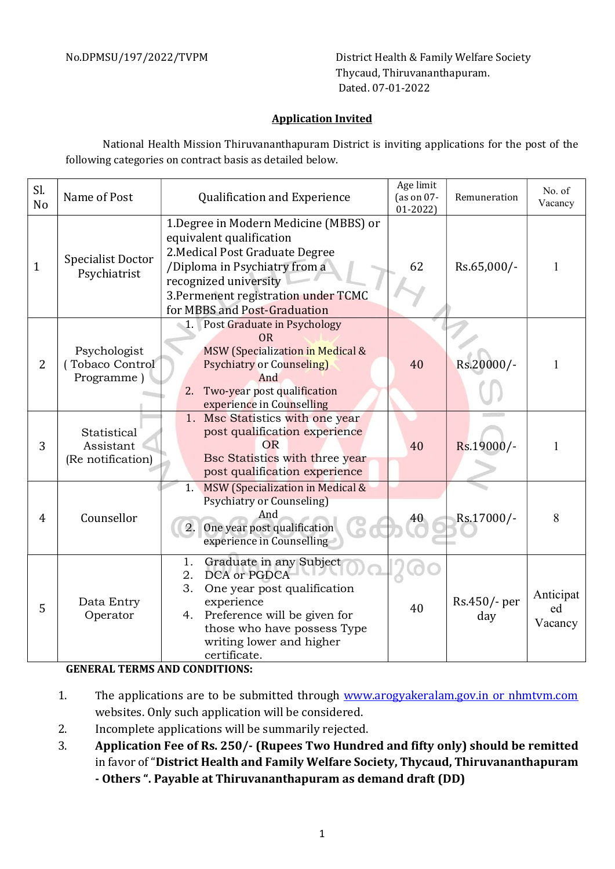No.DPMSU/197/2022/TVPM District Health & Family Welfare Society Thycaud, Thiruvananthapuram. Dated. 07-01-2022

## Application Invited

National Health Mission Thiruvananthapuram District is inviting applications for the post of the following categories on contract basis as detailed below.

| Sl.<br>N <sub>o</sub> | Name of Post                                  | <b>Qualification and Experience</b>                                                                                                                                                                                                     | Age limit<br>(as on $07$ -<br>$01 - 2022$ | Remuneration        | No. of<br>Vacancy          |
|-----------------------|-----------------------------------------------|-----------------------------------------------------------------------------------------------------------------------------------------------------------------------------------------------------------------------------------------|-------------------------------------------|---------------------|----------------------------|
| $\mathbf{1}$          | <b>Specialist Doctor</b><br>Psychiatrist      | 1. Degree in Modern Medicine (MBBS) or<br>equivalent qualification<br>2. Medical Post Graduate Degree<br>/Diploma in Psychiatry from a<br>recognized university<br>3. Permenent registration under TCMC<br>for MBBS and Post-Graduation | 62                                        | Rs.65,000/-         | 1                          |
| $\overline{2}$        | Psychologist<br>Tobaco Control<br>Programme)  | 1. Post Graduate in Psychology<br><b>OR</b><br><b>MSW</b> (Specialization in Medical &<br><b>Psychiatry or Counseling)</b><br>And<br>Two-year post qualification<br>2.<br>experience in Counselling                                     | 40                                        | Rs.20000/-          |                            |
| 3                     | Statistical<br>Assistant<br>(Re notification) | Msc Statistics with one year<br>1.<br>post qualification experience<br>OR<br>Bsc Statistics with three year<br>post qualification experience                                                                                            | 40                                        | Rs.19000/-          |                            |
| $\overline{4}$        | Counsellor                                    | MSW (Specialization in Medical &<br>1.<br><b>Psychiatry or Counseling)</b><br>And<br>One year post qualification<br>2.<br>experience in Counselling                                                                                     |                                           | Rs.17000/-          | 8                          |
| 5                     | Data Entry<br>Operator                        | 1.<br>Graduate in any Subject<br>DCA or PGDCA<br>2.<br>3.<br>One year post qualification<br>experience<br>Preference will be given for<br>4.<br>those who have possess Type<br>writing lower and higher<br>certificate.                 | 40                                        | Rs.450/- per<br>day | Anticipat<br>ed<br>Vacancy |

## GENERAL TERMS AND CONDITIONS:

- 1. The applications are to be submitted through www.arogyakeralam.gov.in or nhmtvm.com websites. Only such application will be considered.
- 2. Incomplete applications will be summarily rejected.
- 3. Application Fee of Rs. 250/- (Rupees Two Hundred and fifty only) should be remitted in favor of "District Health and Family Welfare Society, Thycaud, Thiruvananthapuram - Others ". Payable at Thiruvananthapuram as demand draft (DD)